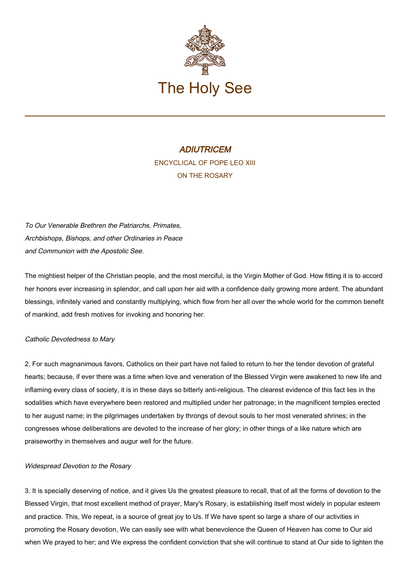

# **ADIUTRICEM** ENCYCLICAL OF POPE LEO XIII ON THE ROSARY

To Our Venerable Brethren the Patriarchs, Primates, Archbishops, Bishops, and other Ordinaries in Peace and Communion with the Apostolic See.

The mightiest helper of the Christian people, and the most merciful, is the Virgin Mother of God. How fitting it is to accord her honors ever increasing in splendor, and call upon her aid with a confidence daily growing more ardent. The abundant blessings, infinitely varied and constantly multiplying, which flow from her all over the whole world for the common benefit of mankind, add fresh motives for invoking and honoring her.

# Catholic Devotedness to Mary

2. For such magnanimous favors, Catholics on their part have not failed to return to her the tender devotion of grateful hearts; because, if ever there was a time when love and veneration of the Blessed Virgin were awakened to new life and inflaming every class of society, it is in these days so bitterly anti-religious. The clearest evidence of this fact lies in the sodalities which have everywhere been restored and multiplied under her patronage; in the magnificent temples erected to her august name; in the pilgrimages undertaken by throngs of devout souls to her most venerated shrines; in the congresses whose deliberations are devoted to the increase of her glory; in other things of a like nature which are praiseworthy in themselves and augur well for the future.

# Widespread Devotion to the Rosary

3. It is specially deserving of notice, and it gives Us the greatest pleasure to recall, that of all the forms of devotion to the Blessed Virgin, that most excellent method of prayer, Mary's Rosary, is establishing itself most widely in popular esteem and practice. This, We repeat, is a source of great joy to Us. If We have spent so large a share of our activities in promoting the Rosary devotion, We can easily see with what benevolence the Queen of Heaven has come to Our aid when We prayed to her; and We express the confident conviction that she will continue to stand at Our side to lighten the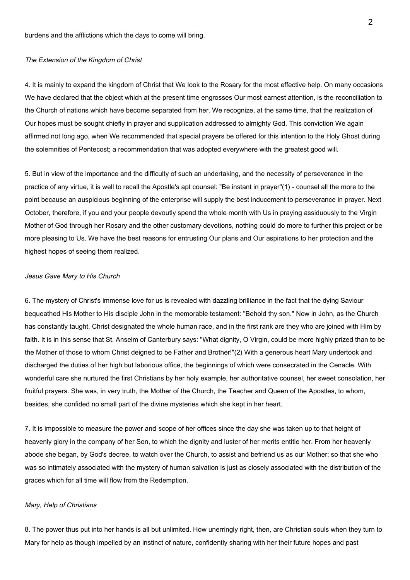# The Extension of the Kingdom of Christ

4. It is mainly to expand the kingdom of Christ that We look to the Rosary for the most effective help. On many occasions We have declared that the object which at the present time engrosses Our most earnest attention, is the reconciliation to the Church of nations which have become separated from her. We recognize, at the same time, that the realization of Our hopes must be sought chiefly in prayer and supplication addressed to almighty God. This conviction We again affirmed not long ago, when We recommended that special prayers be offered for this intention to the Holy Ghost during the solemnities of Pentecost; a recommendation that was adopted everywhere with the greatest good will.

5. But in view of the importance and the difficulty of such an undertaking, and the necessity of perseverance in the practice of any virtue, it is well to recall the Apostle's apt counsel: "Be instant in prayer"(1) - counsel all the more to the point because an auspicious beginning of the enterprise will supply the best inducement to perseverance in prayer. Next October, therefore, if you and your people devoutly spend the whole month with Us in praying assiduously to the Virgin Mother of God through her Rosary and the other customary devotions, nothing could do more to further this project or be more pleasing to Us. We have the best reasons for entrusting Our plans and Our aspirations to her protection and the highest hopes of seeing them realized.

## Jesus Gave Mary to His Church

6. The mystery of Christ's immense love for us is revealed with dazzling brilliance in the fact that the dying Saviour bequeathed His Mother to His disciple John in the memorable testament: "Behold thy son." Now in John, as the Church has constantly taught, Christ designated the whole human race, and in the first rank are they who are joined with Him by faith. It is in this sense that St. Anselm of Canterbury says: "What dignity, O Virgin, could be more highly prized than to be the Mother of those to whom Christ deigned to be Father and Brother!"(2) With a generous heart Mary undertook and discharged the duties of her high but laborious office, the beginnings of which were consecrated in the Cenacle. With wonderful care she nurtured the first Christians by her holy example, her authoritative counsel, her sweet consolation, her fruitful prayers. She was, in very truth, the Mother of the Church, the Teacher and Queen of the Apostles, to whom, besides, she confided no small part of the divine mysteries which she kept in her heart.

7. It is impossible to measure the power and scope of her offices since the day she was taken up to that height of heavenly glory in the company of her Son, to which the dignity and luster of her merits entitle her. From her heavenly abode she began, by God's decree, to watch over the Church, to assist and befriend us as our Mother; so that she who was so intimately associated with the mystery of human salvation is just as closely associated with the distribution of the graces which for all time will flow from the Redemption.

## Mary, Help of Christians

8. The power thus put into her hands is all but unlimited. How unerringly right, then, are Christian souls when they turn to Mary for help as though impelled by an instinct of nature, confidently sharing with her their future hopes and past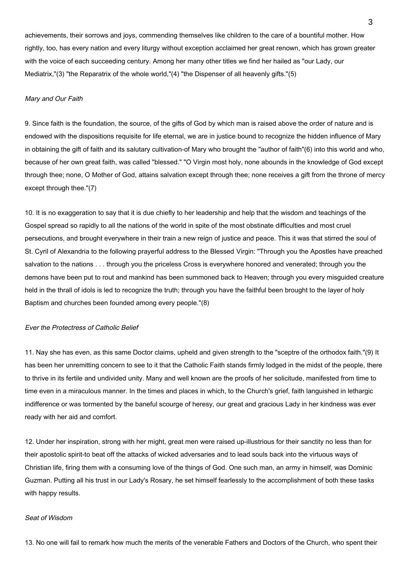achievements, their sorrows and joys, commending themselves like children to the care of a bountiful mother. How rightly, too, has every nation and every liturgy without exception acclaimed her great renown, which has grown greater with the voice of each succeeding century. Among her many other titles we find her hailed as "our Lady, our Mediatrix,"(3) "the Reparatrix of the whole world,"(4) "the Dispenser of all heavenly gifts."(5)

## Mary and Our Faith

9. Since faith is the foundation, the source, of the gifts of God by which man is raised above the order of nature and is endowed with the dispositions requisite for life eternal, we are in justice bound to recognize the hidden influence of Mary in obtaining the gift of faith and its salutary cultivation-of Mary who brought the "author of faith"(6) into this world and who, because of her own great faith, was called "blessed." "O Virgin most holy, none abounds in the knowledge of God except through thee; none, O Mother of God, attains salvation except through thee; none receives a gift from the throne of mercy except through thee."(7)

10. It is no exaggeration to say that it is due chiefly to her leadership and help that the wisdom and teachings of the Gospel spread so rapidly to all the nations of the world in spite of the most obstinate difficulties and most cruel persecutions, and brought everywhere in their train a new reign of justice and peace. This it was that stirred the soul of St. Cyril of Alexandria to the following prayerful address to the Blessed Virgin: "Through you the Apostles have preached salvation to the nations . . . through you the priceless Cross is everywhere honored and venerated; through you the demons have been put to rout and mankind has been summoned back to Heaven; through you every misguided creature held in the thrall of idols is led to recognize the truth; through you have the faithful been brought to the layer of holy Baptism and churches been founded among every people."(8)

# Ever the Protectress of Catholic Belief

11. Nay she has even, as this same Doctor claims, upheld and given strength to the "sceptre of the orthodox faith."(9) It has been her unremitting concern to see to it that the Catholic Faith stands firmly lodged in the midst of the people, there to thrive in its fertile and undivided unity. Many and well known are the proofs of her solicitude, manifested from time to time even in a miraculous manner. In the times and places in which, to the Church's grief, faith languished in lethargic indifference or was tormented by the baneful scourge of heresy, our great and gracious Lady in her kindness was ever ready with her aid and comfort.

12. Under her inspiration, strong with her might, great men were raised up-illustrious for their sanctity no less than for their apostolic spirit-to beat off the attacks of wicked adversaries and to lead souls back into the virtuous ways of Christian life, firing them with a consuming love of the things of God. One such man, an army in himself, was Dominic Guzman. Putting all his trust in our Lady's Rosary, he set himself fearlessly to the accomplishment of both these tasks with happy results.

# Seat of Wisdom

13. No one will fail to remark how much the merits of the venerable Fathers and Doctors of the Church, who spent their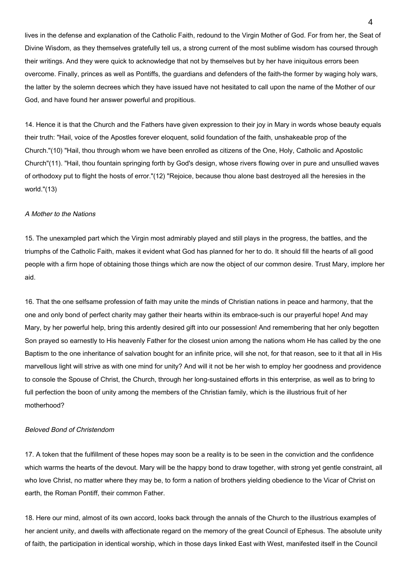lives in the defense and explanation of the Catholic Faith, redound to the Virgin Mother of God. For from her, the Seat of Divine Wisdom, as they themselves gratefully tell us, a strong current of the most sublime wisdom has coursed through their writings. And they were quick to acknowledge that not by themselves but by her have iniquitous errors been overcome. Finally, princes as well as Pontiffs, the guardians and defenders of the faith-the former by waging holy wars, the latter by the solemn decrees which they have issued have not hesitated to call upon the name of the Mother of our God, and have found her answer powerful and propitious.

14. Hence it is that the Church and the Fathers have given expression to their joy in Mary in words whose beauty equals their truth: "Hail, voice of the Apostles forever eloquent, solid foundation of the faith, unshakeable prop of the Church."(10) "Hail, thou through whom we have been enrolled as citizens of the One, Holy, Catholic and Apostolic Church"(11). "Hail, thou fountain springing forth by God's design, whose rivers flowing over in pure and unsullied waves of orthodoxy put to flight the hosts of error."(12) "Rejoice, because thou alone bast destroyed all the heresies in the world."(13)

#### A Mother to the Nations

15. The unexampled part which the Virgin most admirably played and still plays in the progress, the battles, and the triumphs of the Catholic Faith, makes it evident what God has planned for her to do. It should fill the hearts of all good people with a firm hope of obtaining those things which are now the object of our common desire. Trust Mary, implore her aid.

16. That the one selfsame profession of faith may unite the minds of Christian nations in peace and harmony, that the one and only bond of perfect charity may gather their hearts within its embrace-such is our prayerful hope! And may Mary, by her powerful help, bring this ardently desired gift into our possession! And remembering that her only begotten Son prayed so earnestly to His heavenly Father for the closest union among the nations whom He has called by the one Baptism to the one inheritance of salvation bought for an infinite price, will she not, for that reason, see to it that all in His marvellous light will strive as with one mind for unity? And will it not be her wish to employ her goodness and providence to console the Spouse of Christ, the Church, through her long-sustained efforts in this enterprise, as well as to bring to full perfection the boon of unity among the members of the Christian family, which is the illustrious fruit of her motherhood?

# Beloved Bond of Christendom

17. A token that the fulfillment of these hopes may soon be a reality is to be seen in the conviction and the confidence which warms the hearts of the devout. Mary will be the happy bond to draw together, with strong yet gentle constraint, all who love Christ, no matter where they may be, to form a nation of brothers yielding obedience to the Vicar of Christ on earth, the Roman Pontiff, their common Father.

18. Here our mind, almost of its own accord, looks back through the annals of the Church to the illustrious examples of her ancient unity, and dwells with affectionate regard on the memory of the great Council of Ephesus. The absolute unity of faith, the participation in identical worship, which in those days linked East with West, manifested itself in the Council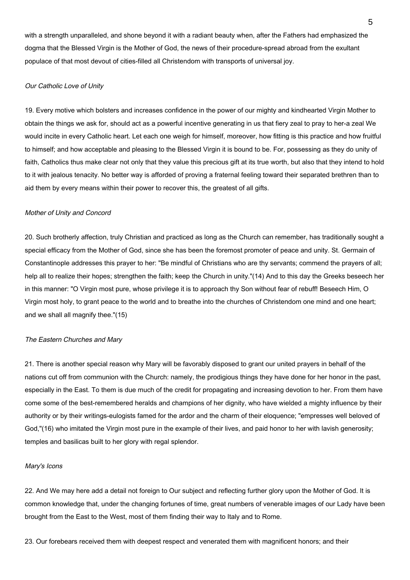with a strength unparalleled, and shone beyond it with a radiant beauty when, after the Fathers had emphasized the dogma that the Blessed Virgin is the Mother of God, the news of their procedure-spread abroad from the exultant populace of that most devout of cities-filled all Christendom with transports of universal joy.

## Our Catholic Love of Unity

19. Every motive which bolsters and increases confidence in the power of our mighty and kindhearted Virgin Mother to obtain the things we ask for, should act as a powerful incentive generating in us that fiery zeal to pray to her-a zeal We would incite in every Catholic heart. Let each one weigh for himself, moreover, how fitting is this practice and how fruitful to himself; and how acceptable and pleasing to the Blessed Virgin it is bound to be. For, possessing as they do unity of faith, Catholics thus make clear not only that they value this precious gift at its true worth, but also that they intend to hold to it with jealous tenacity. No better way is afforded of proving a fraternal feeling toward their separated brethren than to aid them by every means within their power to recover this, the greatest of all gifts.

#### Mother of Unity and Concord

20. Such brotherly affection, truly Christian and practiced as long as the Church can remember, has traditionally sought a special efficacy from the Mother of God, since she has been the foremost promoter of peace and unity. St. Germain of Constantinople addresses this prayer to her: "Be mindful of Christians who are thy servants; commend the prayers of all; help all to realize their hopes; strengthen the faith; keep the Church in unity."(14) And to this day the Greeks beseech her in this manner: "O Virgin most pure, whose privilege it is to approach thy Son without fear of rebuff! Beseech Him, O Virgin most holy, to grant peace to the world and to breathe into the churches of Christendom one mind and one heart; and we shall all magnify thee."(15)

### The Eastern Churches and Mary

21. There is another special reason why Mary will be favorably disposed to grant our united prayers in behalf of the nations cut off from communion with the Church: namely, the prodigious things they have done for her honor in the past, especially in the East. To them is due much of the credit for propagating and increasing devotion to her. From them have come some of the best-remembered heralds and champions of her dignity, who have wielded a mighty influence by their authority or by their writings-eulogists famed for the ardor and the charm of their eloquence; "empresses well beloved of God,"(16) who imitated the Virgin most pure in the example of their lives, and paid honor to her with lavish generosity; temples and basilicas built to her glory with regal splendor.

#### Mary's Icons

22. And We may here add a detail not foreign to Our subject and reflecting further glory upon the Mother of God. It is common knowledge that, under the changing fortunes of time, great numbers of venerable images of our Lady have been brought from the East to the West, most of them finding their way to Italy and to Rome.

23. Our forebears received them with deepest respect and venerated them with magnificent honors; and their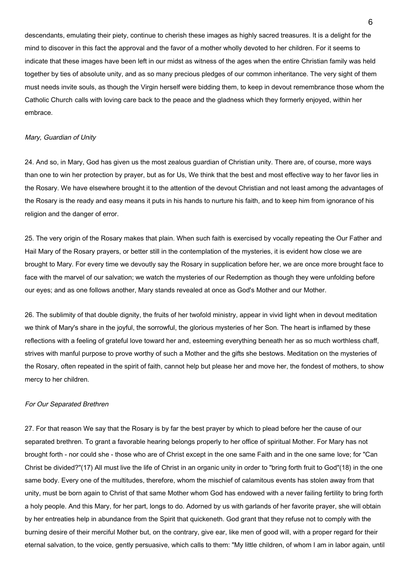descendants, emulating their piety, continue to cherish these images as highly sacred treasures. It is a delight for the mind to discover in this fact the approval and the favor of a mother wholly devoted to her children. For it seems to indicate that these images have been left in our midst as witness of the ages when the entire Christian family was held together by ties of absolute unity, and as so many precious pledges of our common inheritance. The very sight of them must needs invite souls, as though the Virgin herself were bidding them, to keep in devout remembrance those whom the Catholic Church calls with loving care back to the peace and the gladness which they formerly enjoyed, within her embrace.

#### Mary, Guardian of Unity

24. And so, in Mary, God has given us the most zealous guardian of Christian unity. There are, of course, more ways than one to win her protection by prayer, but as for Us, We think that the best and most effective way to her favor lies in the Rosary. We have elsewhere brought it to the attention of the devout Christian and not least among the advantages of the Rosary is the ready and easy means it puts in his hands to nurture his faith, and to keep him from ignorance of his religion and the danger of error.

25. The very origin of the Rosary makes that plain. When such faith is exercised by vocally repeating the Our Father and Hail Mary of the Rosary prayers, or better still in the contemplation of the mysteries, it is evident how close we are brought to Mary. For every time we devoutly say the Rosary in supplication before her, we are once more brought face to face with the marvel of our salvation; we watch the mysteries of our Redemption as though they were unfolding before our eyes; and as one follows another, Mary stands revealed at once as God's Mother and our Mother.

26. The sublimity of that double dignity, the fruits of her twofold ministry, appear in vivid light when in devout meditation we think of Mary's share in the joyful, the sorrowful, the glorious mysteries of her Son. The heart is inflamed by these reflections with a feeling of grateful love toward her and, esteeming everything beneath her as so much worthless chaff, strives with manful purpose to prove worthy of such a Mother and the gifts she bestows. Meditation on the mysteries of the Rosary, often repeated in the spirit of faith, cannot help but please her and move her, the fondest of mothers, to show mercy to her children.

## For Our Separated Brethren

27. For that reason We say that the Rosary is by far the best prayer by which to plead before her the cause of our separated brethren. To grant a favorable hearing belongs properly to her office of spiritual Mother. For Mary has not brought forth - nor could she - those who are of Christ except in the one same Faith and in the one same love; for "Can Christ be divided?"(17) All must live the life of Christ in an organic unity in order to "bring forth fruit to God"(18) in the one same body. Every one of the multitudes, therefore, whom the mischief of calamitous events has stolen away from that unity, must be born again to Christ of that same Mother whom God has endowed with a never failing fertility to bring forth a holy people. And this Mary, for her part, longs to do. Adorned by us with garlands of her favorite prayer, she will obtain by her entreaties help in abundance from the Spirit that quickeneth. God grant that they refuse not to comply with the burning desire of their merciful Mother but, on the contrary, give ear, like men of good will, with a proper regard for their eternal salvation, to the voice, gently persuasive, which calls to them: "My little children, of whom I am in labor again, until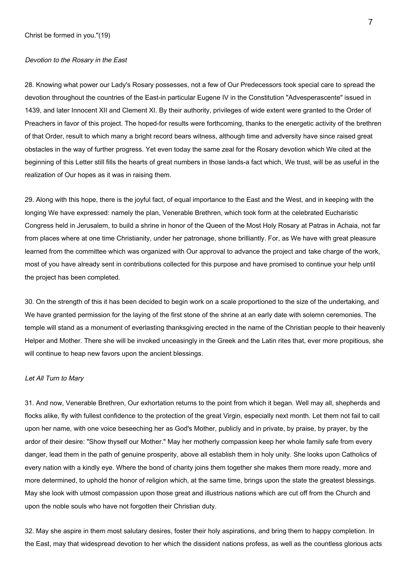## Devotion to the Rosary in the East

28. Knowing what power our Lady's Rosary possesses, not a few of Our Predecessors took special care to spread the devotion throughout the countries of the East-in particular Eugene IV in the Constitution "Advesperascente" issued in 1439, and later Innocent XII and Clement XI. By their authority, privileges of wide extent were granted to the Order of Preachers in favor of this project. The hoped-for results were forthcoming, thanks to the energetic activity of the brethren of that Order, result to which many a bright record bears witness, although time and adversity have since raised great obstacles in the way of further progress. Yet even today the same zeal for the Rosary devotion which We cited at the beginning of this Letter still fills the hearts of great numbers in those lands-a fact which, We trust, will be as useful in the realization of Our hopes as it was in raising them.

29. Along with this hope, there is the joyful fact, of equal importance to the East and the West, and in keeping with the longing We have expressed: namely the plan, Venerable Brethren, which took form at the celebrated Eucharistic Congress held in Jerusalem, to build a shrine in honor of the Queen of the Most Holy Rosary at Patras in Achaia, not far from places where at one time Christianity, under her patronage, shone brilliantly. For, as We have with great pleasure learned from the committee which was organized with Our approval to advance the project and take charge of the work, most of you have already sent in contributions collected for this purpose and have promised to continue your help until the project has been completed.

30. On the strength of this it has been decided to begin work on a scale proportioned to the size of the undertaking, and We have granted permission for the laying of the first stone of the shrine at an early date with solemn ceremonies. The temple will stand as a monument of everlasting thanksgiving erected in the name of the Christian people to their heavenly Helper and Mother. There she will be invoked unceasingly in the Greek and the Latin rites that, ever more propitious, she will continue to heap new favors upon the ancient blessings.

## Let All Turn to Mary

31. And now, Venerable Brethren, Our exhortation returns to the point from which it began. Well may all, shepherds and flocks alike, fly with fullest confidence to the protection of the great Virgin, especially next month. Let them not fail to call upon her name, with one voice beseeching her as God's Mother, publicly and in private, by praise, by prayer, by the ardor of their desire: "Show thyself our Mother." May her motherly compassion keep her whole family safe from every danger, lead them in the path of genuine prosperity, above all establish them in holy unity. She looks upon Catholics of every nation with a kindly eye. Where the bond of charity joins them together she makes them more ready, more and more determined, to uphold the honor of religion which, at the same time, brings upon the state the greatest blessings. May she look with utmost compassion upon those great and illustrious nations which are cut off from the Church and upon the noble souls who have not forgotten their Christian duty.

32. May she aspire in them most salutary desires, foster their holy aspirations, and bring them to happy completion. In the East, may that widespread devotion to her which the dissident nations profess, as well as the countless glorious acts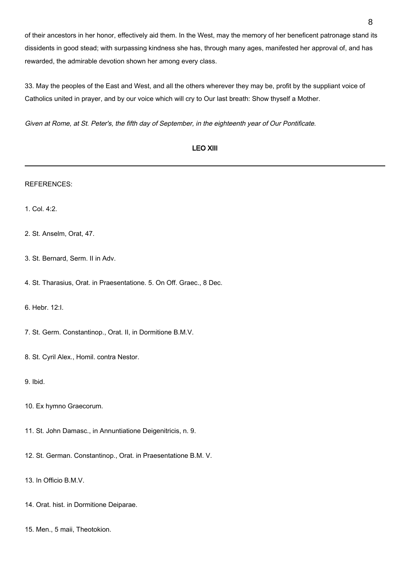of their ancestors in her honor, effectively aid them. In the West, may the memory of her beneficent patronage stand its dissidents in good stead; with surpassing kindness she has, through many ages, manifested her approval of, and has rewarded, the admirable devotion shown her among every class.

33. May the peoples of the East and West, and all the others wherever they may be, profit by the suppliant voice of Catholics united in prayer, and by our voice which will cry to Our last breath: Show thyself a Mother.

Given at Rome, at St. Peter's, the fifth day of September, in the eighteenth year of Our Pontificate.

| <b>LEO XIII</b>                                                      |
|----------------------------------------------------------------------|
| <b>REFERENCES:</b>                                                   |
| 1. Col. 4:2.                                                         |
| 2. St. Anselm, Orat, 47.                                             |
| 3. St. Bernard, Serm. II in Adv.                                     |
| 4. St. Tharasius, Orat. in Praesentatione. 5. On Off. Graec., 8 Dec. |
| 6. Hebr. 12:I.                                                       |
| 7. St. Germ. Constantinop., Orat. II, in Dormitione B.M.V.           |
| 8. St. Cyril Alex., Homil. contra Nestor.                            |
| 9. Ibid.                                                             |
| 10. Ex hymno Graecorum.                                              |
| 11. St. John Damasc., in Annuntiatione Deigenitricis, n. 9.          |
| 12. St. German. Constantinop., Orat. in Praesentatione B.M. V.       |
| 13. In Officio B.M.V.                                                |
| 14. Orat. hist. in Dormitione Deiparae.                              |

15. Men., 5 maii, Theotokion.